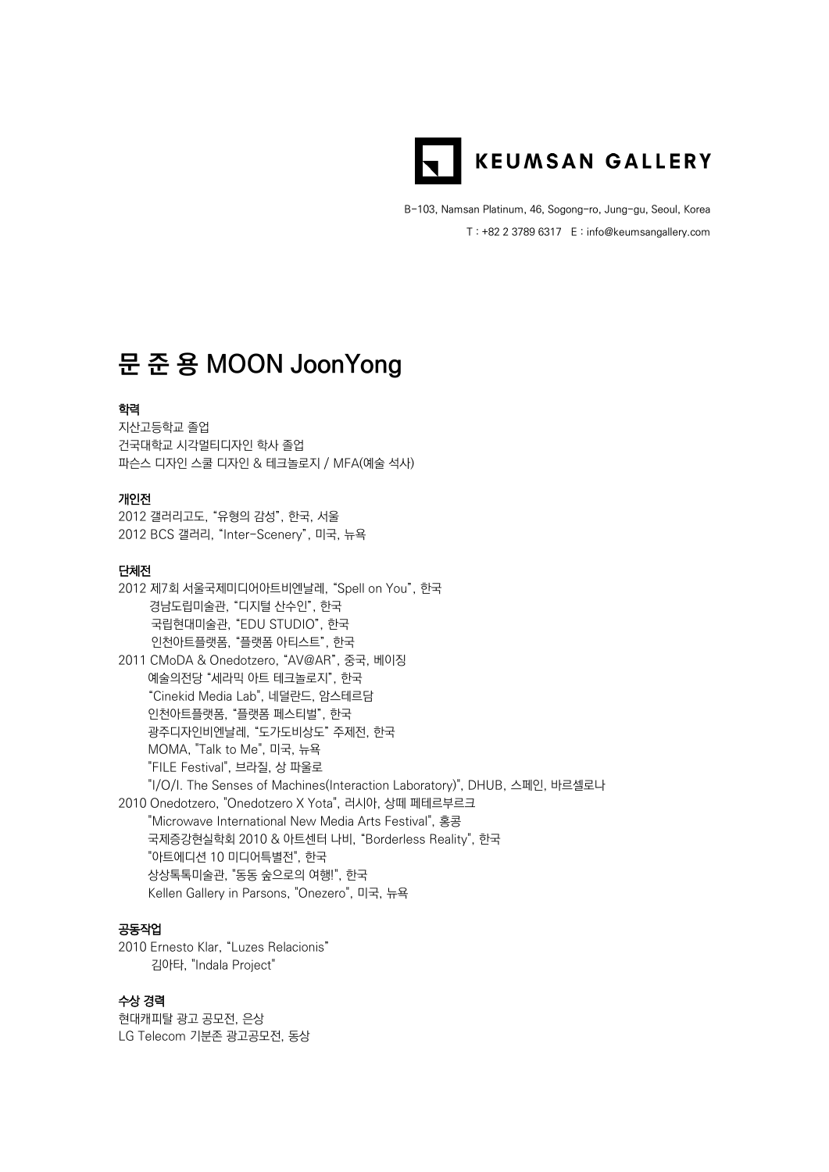

B-103, Namsan Platinum, 46, Sogong-ro, Jung-gu, Seoul, Korea T : +82 2 3789 6317 E : info@keumsangallery.com

# **문 준 용 MOON JoonYong**

# 학력

지산고등학교 졸업 건국대학교 시각멀티디자인 학사 졸업 파슨스 디자인 스쿨 디자인 & 테크놀로지 / MFA(예술 석사)

#### 개인전

2012 갤러리고도, "유형의 감성", 한국, 서울 2012 BCS 갤러리, "Inter-Scenery", 미국, 뉴욕

#### 단체전

2012 제7회 서울국제미디어아트비엔날레, "Spell on You", 한국 경남도립미술관, "디지털 산수인", 한국 국립현대미술관, "EDU STUDIO", 한국 인천아트플랫폼, "플랫폼 아티스트", 한국 2011 CMoDA & Onedotzero, "AV@AR", 중국, 베이징 예술의전당 "세라믹 아트 테크놀로지", 한국 "Cinekid Media Lab", 네덜란드, 암스테르담 인천아트플랫폼, "플랫폼 페스티벌", 한국 광주디자인비엔날레, "도가도비상도" 주제전, 한국 MOMA, "Talk to Me", 미국, 뉴욕 "FILE Festival", 브라질, 상 파울로 "I/O/I. The Senses of Machines(Interaction Laboratory)", DHUB, 스페인, 바르셀로나 2010 Onedotzero, "Onedotzero X Yota", 러시아, 상떼 페테르부르크 "Microwave International New Media Arts Festival", 홍콩 국제증강현실학회 2010 & 아트센터 나비, "Borderless Reality", 한국 "아트에디션 10 미디어특별전", 한국 상상톡톡미술관, "동동 숲으로의 여행!", 한국 Kellen Gallery in Parsons, "Onezero", 미국, 뉴욕

# 공동작업

2010 Ernesto Klar, "Luzes Relacionis" 김아타, "Indala Project"

### 수상 경력

현대캐피탈 광고 공모전, 은상 LG Telecom 기분존 광고공모전, 동상